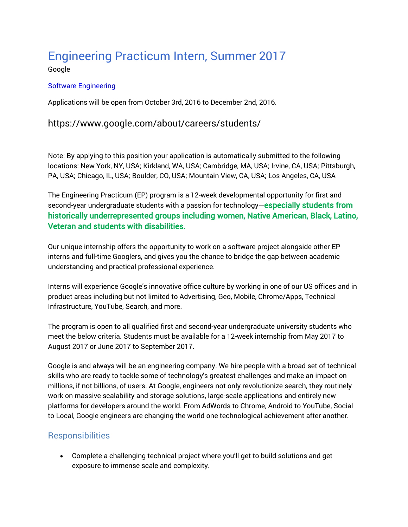# [Engineering Practicum Intern, Summer 2017](https://www.google.com/about/careers/jobs#!t=jo&jid=/google/engineering-practicum-intern-summer-2017-1600-amphitheatre-pkwy-mountain-view-ca-1369310059&)

Google

#### [Software Engineering](https://www.google.com/about/careers/jobs#t=sq&q=j&li=20&l=false&jlo=en-US&jc=SOFTWARE_ENGINEERING&)

Applications will be open from October 3rd, 2016 to December 2nd, 2016.

### https://www.google.com/about/careers/students/

Note: By applying to this position your application is automatically submitted to the following locations: New York, NY, USA; Kirkland, WA, USA; Cambridge, MA, USA; Irvine, CA, USA; Pittsburgh, PA, USA; Chicago, IL, USA; Boulder, CO, USA; Mountain View, CA, USA; Los Angeles, CA, USA

The Engineering Practicum (EP) program is a 12-week developmental opportunity for first and second-year undergraduate students with a passion for technology-especially students from historically underrepresented groups including women, Native American, Black, Latino, Veteran and students with disabilities.

Our unique internship offers the opportunity to work on a software project alongside other EP interns and full-time Googlers, and gives you the chance to bridge the gap between academic understanding and practical professional experience.

Interns will experience Google's innovative office culture by working in one of our US offices and in product areas including but not limited to Advertising, Geo, Mobile, Chrome/Apps, Technical Infrastructure, YouTube, Search, and more.

The program is open to all qualified first and second-year undergraduate university students who meet the below criteria. Students must be available for a 12-week internship from May 2017 to August 2017 or June 2017 to September 2017.

Google is and always will be an engineering company. We hire people with a broad set of technical skills who are ready to tackle some of technology's greatest challenges and make an impact on millions, if not billions, of users. At Google, engineers not only revolutionize search, they routinely work on massive scalability and storage solutions, large-scale applications and entirely new platforms for developers around the world. From AdWords to Chrome, Android to YouTube, Social to Local, Google engineers are changing the world one technological achievement after another.

## **Responsibilities**

 Complete a challenging technical project where you'll get to build solutions and get exposure to immense scale and complexity.